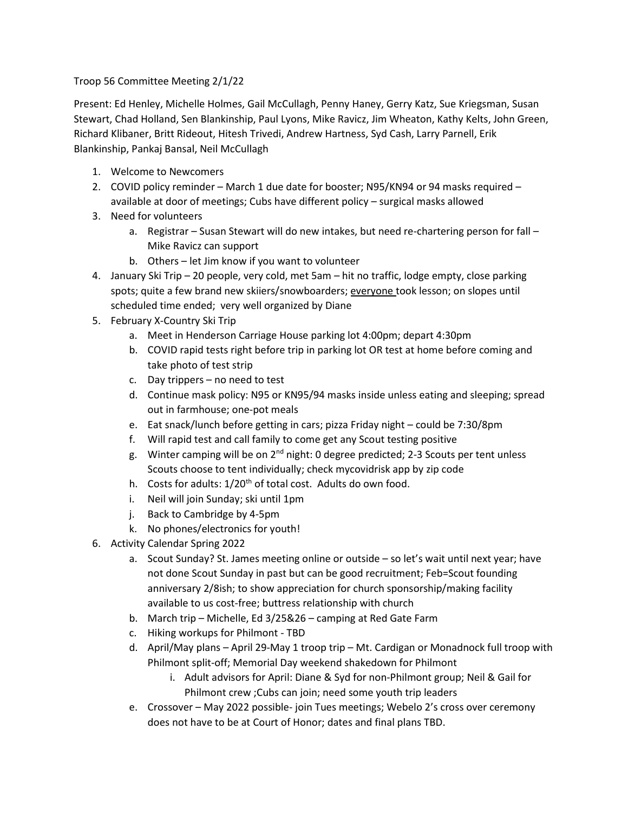Troop 56 Committee Meeting 2/1/22

Present: Ed Henley, Michelle Holmes, Gail McCullagh, Penny Haney, Gerry Katz, Sue Kriegsman, Susan Stewart, Chad Holland, Sen Blankinship, Paul Lyons, Mike Ravicz, Jim Wheaton, Kathy Kelts, John Green, Richard Klibaner, Britt Rideout, Hitesh Trivedi, Andrew Hartness, Syd Cash, Larry Parnell, Erik Blankinship, Pankaj Bansal, Neil McCullagh

- 1. Welcome to Newcomers
- 2. COVID policy reminder March 1 due date for booster; N95/KN94 or 94 masks required available at door of meetings; Cubs have different policy – surgical masks allowed
- 3. Need for volunteers
	- a. Registrar Susan Stewart will do new intakes, but need re-chartering person for fall Mike Ravicz can support
	- b. Others let Jim know if you want to volunteer
- 4. January Ski Trip 20 people, very cold, met 5am hit no traffic, lodge empty, close parking spots; quite a few brand new skiiers/snowboarders; everyone took lesson; on slopes until scheduled time ended; very well organized by Diane
- 5. February X-Country Ski Trip
	- a. Meet in Henderson Carriage House parking lot 4:00pm; depart 4:30pm
	- b. COVID rapid tests right before trip in parking lot OR test at home before coming and take photo of test strip
	- c. Day trippers no need to test
	- d. Continue mask policy: N95 or KN95/94 masks inside unless eating and sleeping; spread out in farmhouse; one-pot meals
	- e. Eat snack/lunch before getting in cars; pizza Friday night could be 7:30/8pm
	- f. Will rapid test and call family to come get any Scout testing positive
	- g. Winter camping will be on  $2^{nd}$  night: 0 degree predicted; 2-3 Scouts per tent unless Scouts choose to tent individually; check mycovidrisk app by zip code
	- h. Costs for adults: 1/20<sup>th</sup> of total cost. Adults do own food.
	- i. Neil will join Sunday; ski until 1pm
	- j. Back to Cambridge by 4-5pm
	- k. No phones/electronics for youth!
- 6. Activity Calendar Spring 2022
	- a. Scout Sunday? St. James meeting online or outside so let's wait until next year; have not done Scout Sunday in past but can be good recruitment; Feb=Scout founding anniversary 2/8ish; to show appreciation for church sponsorship/making facility available to us cost-free; buttress relationship with church
	- b. March trip Michelle, Ed 3/25&26 camping at Red Gate Farm
	- c. Hiking workups for Philmont TBD
	- d. April/May plans April 29-May 1 troop trip Mt. Cardigan or Monadnock full troop with Philmont split-off; Memorial Day weekend shakedown for Philmont
		- i. Adult advisors for April: Diane & Syd for non-Philmont group; Neil & Gail for Philmont crew ;Cubs can join; need some youth trip leaders
	- e. Crossover May 2022 possible- join Tues meetings; Webelo 2's cross over ceremony does not have to be at Court of Honor; dates and final plans TBD.